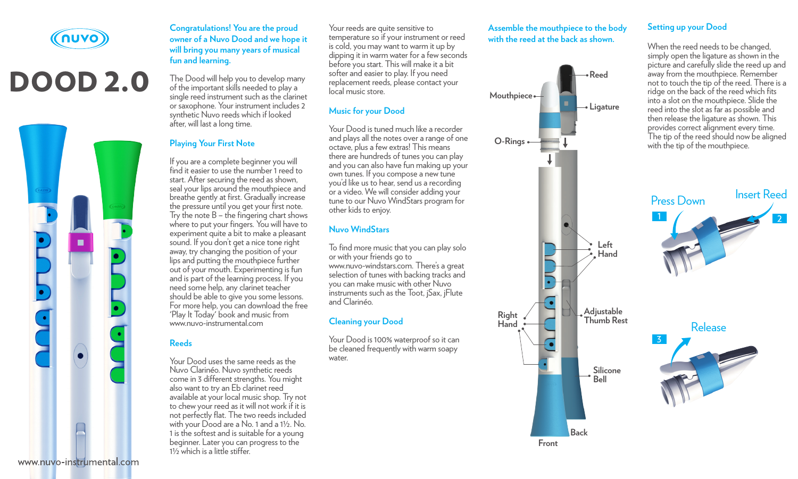

# DOOD 2.0



#### **Congratulations! You are the proud owner of a Nuvo Dood and we hope it will bring you many years of musical fun and learning.**

The Dood will help you to develop many of the important skills needed to play a single reed instrument such as the clarinet or saxophone. Your instrument includes 2 synthetic Nuvo reeds which if looked after, will last a long time.

#### **Playing Your First Note**

If you are a complete beginner you will find it easier to use the number 1 reed to start. After securing the reed as shown, seal your lips around the mouthpiece and breathe gently at first. Gradually increase the pressure until you get your first note. Try the note B – the fingering chart shows where to put your fingers. You will have to experiment quite a bit to make a pleasant sound. If you don't get a nice tone right away, try changing the position of your lips and putting the mouthpiece further out of your mouth. Experimenting is fun and is part of the learning process. If you need some help, any clarinet teacher should be able to give you some lessons. For more help, you can download the free 'Play It Today' book and music from www.nuvo-instrumental.com

# **Reeds**

Your Dood uses the same reeds as the Nuvo Clarinéo. Nuvo synthetic reeds come in 3 different strengths. You might also want to try an Eb clarinet reed available at your local music shop. Try not to chew your reed as it will not work if it is not perfectly flat. The two reeds included with your Dood are a No. 1 and a 1½. No. 1 is the softest and is suitable for a young beginner. Later you can progress to the  $1\%$  which is a little stiffer.

Your reeds are quite sensitive to temperature so if your instrument or reed is cold, you may want to warm it up by dipping it in warm water for a few seconds before you start. This will make it a bit softer and easier to play. If you need replacement reeds, please contact your local music store.

# **Music for your Dood**

Your Dood is tuned much like a recorder and plays all the notes over a range of one octave, plus a few extras! This means there are hundreds of tunes you can play and you can also have fun making up your own tunes. If you compose a new tune you'd like us to hear, send us a recording or a video. We will consider adding your tune to our Nuvo WindStars program for other kids to enjoy.

## **Nuvo WindStars**

To find more music that you can play solo or with your friends go to www.nuvo-windstars.com. There's a great selection of tunes with backing tracks and you can make music with other Nuvo instruments such as the Toot, jSax, jFlute and Clarinéo.

# **Cleaning your Dood**

Your Dood is 100% waterproof so it can be cleaned frequently with warm soapy water.

#### **Assemble the mouthpiece to the body with the reed at the back as shown.**



## **Setting up your Dood**

When the reed needs to be changed. simply open the ligature as shown in the picture and carefully slide the reed up and away from the mouthpiece. Remember not to touch the tip of the reed. There is a ridge on the back of the reed which fits into a slot on the mouthpiece. Slide the reed into the slot as far as possible and then release the ligature as shown. This provides correct alignment every time. The tip of the reed should now be aligned with the tip of the mouthpiece.